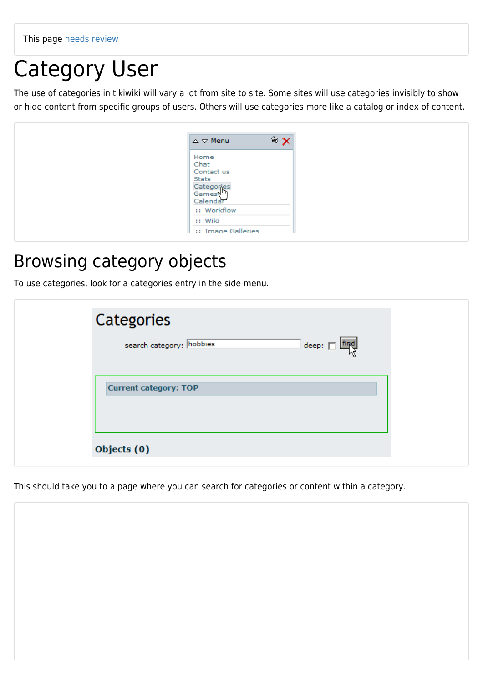# Category User

The use of categories in tikiwiki will vary a lot from site to site. Some sites will use categories invisibly to show or hide content from specific groups of users. Others will use categories more like a catalog or index of content.

#### Browsing category objects

To use categories, look for a categories entry in the side menu.

| Categories                                         |  |
|----------------------------------------------------|--|
| search category: hobbies<br>$\deg$ : $\Box$ $\deg$ |  |
| <b>Current category: TOP</b>                       |  |
| Objects (0)                                        |  |

This should take you to a page where you can search for categories or content within a category.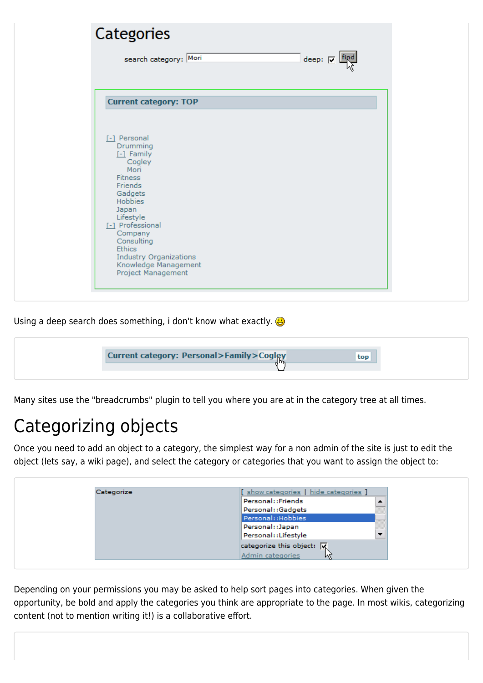| Categories                                                                                                                                                                                                                                                                      |                   |
|---------------------------------------------------------------------------------------------------------------------------------------------------------------------------------------------------------------------------------------------------------------------------------|-------------------|
| search category: Mori                                                                                                                                                                                                                                                           | deep: $\Box$ Find |
| <b>Current category: TOP</b>                                                                                                                                                                                                                                                    |                   |
| [-] Personal<br>Drumming<br>$-1$ Family<br>Cogley<br>Mori<br><b>Fitness</b><br>Friends<br>Gadgets<br>Hobbies<br>Japan<br>Lifestyle<br>[-] Professional<br>Company<br>Consulting<br><b>Ethics</b><br><b>Industry Organizations</b><br>Knowledge Management<br>Project Management |                   |

Using a deep search does something, i don't know what exactly.

| <b>Current category: Personal&gt;Family&gt;Cogley</b><br>.Jm | top |
|--------------------------------------------------------------|-----|
|                                                              |     |
|                                                              |     |

Many sites use the "breadcrumbs" plugin to tell you where you are at in the category tree at all times.

#### Categorizing objects

Once you need to add an object to a category, the simplest way for a non admin of the site is just to edit the object (lets say, a wiki page), and select the category or categories that you want to assign the object to:

| Categorize | show categories   hide categories ]               |  |
|------------|---------------------------------------------------|--|
|            | Personal::Friends                                 |  |
|            | Personal::Gadgets                                 |  |
|            | Personal:: Hobbies                                |  |
|            | Personal::Japan                                   |  |
|            | Personal::Lifestyle                               |  |
|            | categorize this object: $\overline{ \mathbf{x} }$ |  |
|            | Admin categories<br>M                             |  |

Depending on your permissions you may be asked to help sort pages into categories. When given the opportunity, be bold and apply the categories you think are appropriate to the page. In most wikis, categorizing content (not to mention writing it!) is a collaborative effort.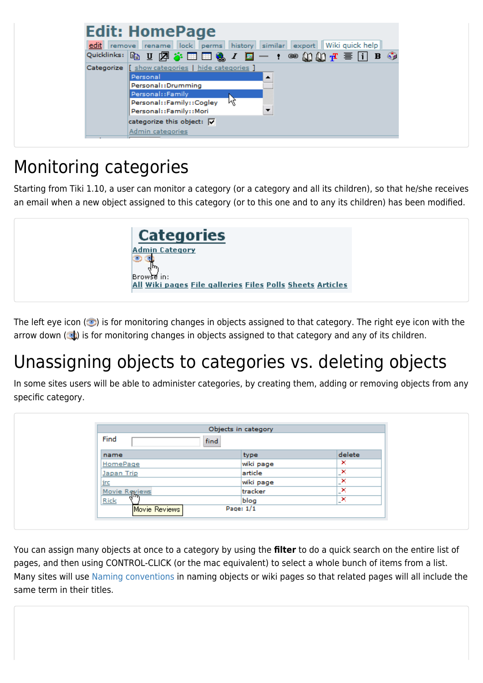

## Monitoring categories

Starting from Tiki 1.10, a user can monitor a category (or a category and all its children), so that he/she receives an email when a new object assigned to this category (or to this one and to any its children) has been modified.

| <b>Categories</b>                                                       |  |
|-------------------------------------------------------------------------|--|
| <b>Admin Category</b>                                                   |  |
| Browse in:<br>All Wiki pages File galleries Files Polls Sheets Articles |  |

The left eye icon  $($  ) is for monitoring changes in objects assigned to that category. The right eye icon with the arrow down  $\left(\begin{array}{c} \bullet \\ \bullet \end{array}\right)$  is for monitoring changes in objects assigned to that category and any of its children.

## Unassigning objects to categories vs. deleting objects

In some sites users will be able to administer categories, by creating them, adding or removing objects from any specific category.

|               | Objects in category |                               |
|---------------|---------------------|-------------------------------|
| Find<br>find  |                     |                               |
| name          | type                | delete                        |
| HomePage      | wiki page           | ×                             |
| Japan Trip    | article             | _×.                           |
| <u>irc</u>    | wiki page           | ×<br>$\overline{\phantom{0}}$ |
| Movie Reviews | tracker             | ×<br>-                        |
| ${\sf Rick}$  | blog                | "×.                           |
| Movie Reviews | Page: $1/1$         |                               |

You can assign many objects at once to a category by using the **filter** to do a quick search on the entire list of pages, and then using CONTROL-CLICK (or the mac equivalent) to select a whole bunch of items from a list. Many sites will use [Naming conventions](https://doc.tiki.org/Naming-Conventions) in naming objects or wiki pages so that related pages will all include the same term in their titles.